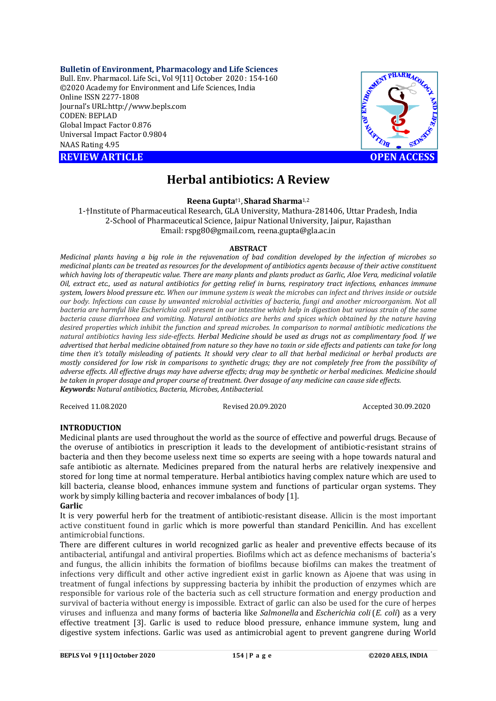#### **Bulletin of Environment, Pharmacology and Life Sciences**

Bull. Env. Pharmacol. Life Sci., Vol 9[11] October 2020 : 154-160 ©2020 Academy for Environment and Life Sciences, India Online ISSN 2277-1808 Journal's URL:<http://www.bepls.com> CODEN: BEPLAD Global Impact Factor 0.876 Universal Impact Factor 0.9804 NAAS Rating 4.95

**REVIEW ARTICLE CONSERVERS** 



# **Herbal antibiotics: A Review**

**Reena Gupta**†1, **Sharad Sharma**1,2

1-†Institute of Pharmaceutical Research, GLA University, Mathura-281406, Uttar Pradesh, India 2-School of Pharmaceutical Science, Jaipur National University, Jaipur, Rajasthan Email: [rspg80@gmail.com,](mailto:rspg80@gmail.com,) [reena.gupta@gla.ac.in](mailto:reena.gupta@gla.ac.in)

### **ABSTRACT**

*Medicinal plants having a big role in the rejuvenation of bad condition developed by the infection of microbes so medicinal plants can be treated as resources for the development of antibiotics agents because of their active constituent which having lots of therapeutic value. There are many plants and plants product as Garlic, Aloe Vera, medicinal volatile Oil, extract etc., used as natural antibiotics for getting relief in burns, respiratory tract infections, enhances immune system, lowers blood pressure etc. When our immune system is weak the microbes can infect and thrives inside or outside our body. Infections can cause by unwanted microbial activities of bacteria, fungi and another microorganism. Not all bacteria are harmful like Escherichia coli present in our intestine which help in digestion but various strain of the same bacteria cause diarrhoea and vomiting. Natural antibiotics are herbs and spices which obtained by the nature having desired properties which inhibit the function and spread microbes. In comparison to normal antibiotic medications the natural antibiotics having less side-effects. Herbal Medicine should be used as drugs not as complimentary food. If we advertised that herbal medicine obtained from nature so they have no toxin or side effects and patients can take for long time then it's totally misleading of patients. It should very clear to all that herbal medicinal or herbal products are mostly considered for low risk in comparisons to synthetic drugs; they are not completely free from the possibility of adverse effects. All effective drugs may have adverse effects; drug may be synthetic or herbal medicines. Medicine should be taken in proper dosage and proper course of treatment. Over dosage of any medicine can cause side effects. Keywords: Natural antibiotics, Bacteria, Microbes, Antibacterial.*

Received 11.08.2020 Revised 20.09.2020 Accepted 30.09.2020

### **INTRODUCTION**

Medicinal plants are used throughout the world as the source of effective and powerful drugs. Because of the overuse of antibiotics in prescription it leads to the development of antibiotic-resistant strains of bacteria and then they become useless next time so experts are seeing with a hope towards natural and safe antibiotic as alternate. Medicines prepared from the natural herbs are relatively inexpensive and stored for long time at normal temperature. Herbal antibiotics having complex nature which are used to kill bacteria, cleanse blood, enhances immune system and functions of particular organ systems. They work by simply killing bacteria and recover imbalances of body [1].

#### **Garlic**

It is very powerful herb for the treatment of antibiotic-resistant disease. Allicin is the most important active constituent found in garlic which is more powerful than standard Penicillin. And has excellent antimicrobial functions.

There are different cultures in world recognized garlic as healer and preventive effects because of its antibacterial, antifungal and antiviral properties. Biofilms which act as defence mechanisms of bacteria's and fungus, the allicin inhibits the formation of biofilms because biofilms can makes the treatment of infections very difficult and other active ingredient exist in garlic known as Ajoene that was using in treatment of fungal infections by suppressing bacteria by inhibit the production of enzymes which are responsible for various role of the bacteria such as cell structure formation and energy production and survival of bacteria without energy is impossible. Extract of garlic can also be used for the cure of herpes viruses and influenza and many forms of bacteria like *Salmonella* and *Escherichia coli* (*E. coli*) as a very effective treatment [3]. Garlic is used to reduce blood pressure, enhance immune system, lung and digestive system infections. Garlic was used as antimicrobial agent to prevent gangrene during World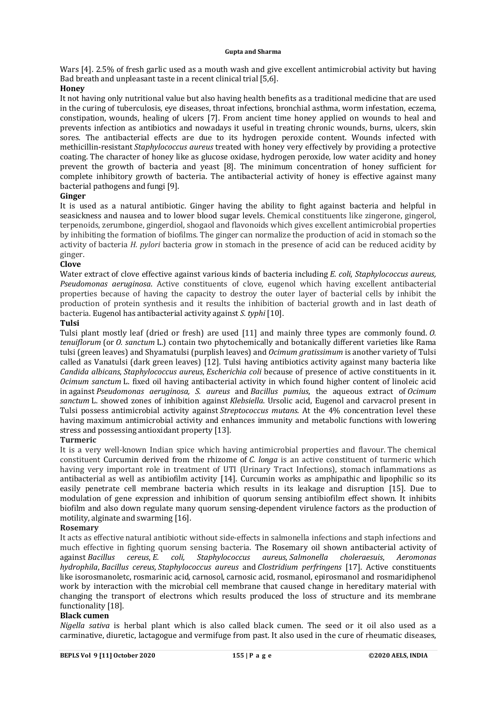Wars [4]. 2.5% of fresh garlic used as a mouth wash and give excellent antimicrobial activity but having Bad breath and unpleasant taste in a recent clinical trial [5,6].

# **Honey**

It not having only nutritional value but also having health benefits as a traditional medicine that are used in the curing of tuberculosis, eye diseases, throat infections, bronchial asthma, worm infestation, eczema, constipation, wounds, healing of ulcers [7]. From ancient time honey applied on wounds to heal and prevents infection as antibiotics and nowadays it useful in treating chronic wounds, burns, ulcers, skin sores. The antibacterial effects are due to its hydrogen peroxide content. Wounds infected with methicillin-resistant *Staphylococcus aureus* treated with honey very effectively by providing a protective coating. The character of honey like as glucose oxidase, hydrogen peroxide, low water acidity and honey prevent the growth of bacteria and yeast [8]. The minimum concentration of honey sufficient for complete inhibitory growth of bacteria. The antibacterial activity of honey is effective against many bacterial pathogens and fungi [9].

### **Ginger**

It is used as a natural antibiotic. Ginger having the ability to fight against bacteria and helpful in seasickness and nausea and to lower blood sugar levels. Chemical constituents like zingerone, gingerol, terpenoids, zerumbone, gingerdiol, shogaol and flavonoids which gives excellent antimicrobial properties by inhibiting the formation of biofilms. The ginger can normalize the production of acid in stomach so the activity of bacteria *H. pylori* bacteria grow in stomach in the presence of acid can be reduced acidity by ginger.

### **Clove**

Water extract of clove effective against various kinds of bacteria including *E. coli*, *Staphylococcus aureus, Pseudomonas aeruginosa*. Active constituents of clove, eugenol which having excellent antibacterial properties because of having the capacity to destroy the outer layer of bacterial cells by inhibit the production of protein synthesis and it results the inhibition of bacterial growth and in last death of bacteria. Eugenol has antibacterial activity against *S. typhi* [10].

# **Tulsi**

Tulsi plant mostly leaf (dried or fresh) are used [11] and mainly three types are commonly found. *O. tenuiflorum* (or *O. sanctum* L.) contain two phytochemically and botanically different varieties like Rama tulsi (green leaves) and Shyamatulsi (purplish leaves) and *Ocimum gratissimum* is another variety of Tulsi called as Vanatulsi (dark green leaves) [12]. Tulsi having antibiotics activity against many bacteria like *Candida albicans*, *Staphylococcus aureus*, *Escherichia coli* because of presence of active constituents in it. *Ocimum sanctum* L. fixed oil having antibacterial activity in which found higher content of linoleic acid in against *Pseudomonas aeruginosa, S. aureus* and *Bacillus pumius*, the aqueous extract of *Ocimum sanctum* L. showed zones of inhibition against *Klebsiella*. Ursolic acid, Eugenol and carvacrol present in Tulsi possess antimicrobial activity against *Streptococcus mutans*. At the 4% concentration level these having maximum antimicrobial activity and enhances immunity and metabolic functions with lowering stress and possessing antioxidant property [13].

### **Turmeric**

It is a very well-known Indian spice which having antimicrobial properties and flavour. The chemical constituent Curcumin derived from the rhizome of *C. longa* is an active constituent of turmeric which having very important role in treatment of UTI (Urinary Tract Infections), stomach inflammations as antibacterial as well as antibiofilm activity [14]. Curcumin works as amphipathic and lipophilic so its easily penetrate cell membrane bacteria which results in its leakage and disruption [15]. Due to modulation of gene expression and inhibition of quorum sensing antibiofilm effect shown. It inhibits biofilm and also down regulate many quorum sensing-dependent virulence factors as the production of motility, alginate and swarming [16].

### **Rosemary**

It acts as effective natural antibiotic without side-effects in salmonella infections and staph infections and much effective in fighting quorum sensing bacteria. The Rosemary oil shown antibacterial activity of against Bacillus cereus, E. coli, Staphylococcus aureus, Salmonella choleraesuis, Aeromonas against *Bacillus cereus*, *E. coli, Staphylococcus aureus*, *Salmonella choleraesuis*, *Aeromonas hydrophila*, *Bacillus cereus, Staphylococcus aureus* and *Clostridium perfringens* [17]. Active constituents like isorosmanoletc, rosmarinic acid, carnosol, carnosic acid, rosmanol, epirosmanol and rosmaridiphenol work by interaction with the microbial cell membrane that caused change in hereditary material with changing the transport of electrons which results produced the loss of structure and its membrane functionality [18].

### **Black cumen**

*Nigella sativa* is herbal plant which is also called black cumen. The seed or it oil also used as a carminative, diuretic, lactagogue and vermifuge from past. It also used in the cure of rheumatic diseases,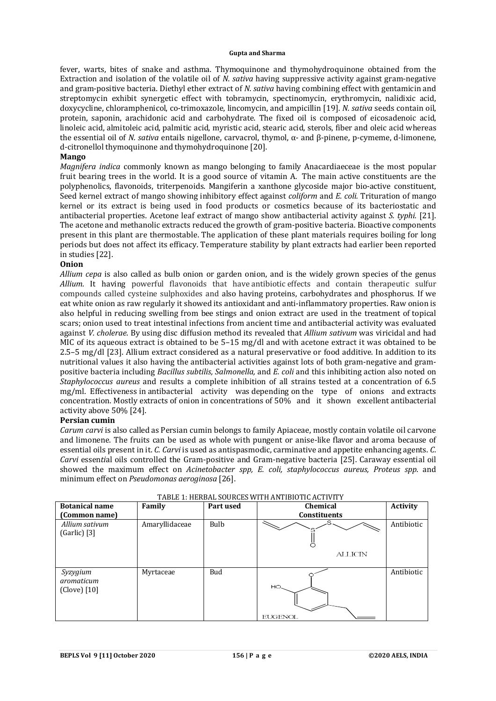fever, warts, bites of snake and asthma. Thymoquinone and thymohydroquinone obtained from the Extraction and isolation of the volatile oil of *N. sativa* having suppressive activity against gram-negative and gram-positive bacteria. Diethyl ether extract of *N. sativa* having combining effect with gentamicin and streptomycin exhibit synergetic effect with tobramycin, spectinomycin, erythromycin, nalidixic acid, doxycycline, chloramphenicol, co-trimoxazole, lincomycin, and ampicillin [19]. *N. sativa* seeds contain oil, protein, saponin, arachidonic acid and carbohydrate. The fixed oil is composed of eicosadenoic acid, linoleic acid, almitoleic acid, palmitic acid, myristic acid, stearic acid, sterols, fiber and oleic acid whereas the essential oil of *N. sativa* entails nigellone, carvacrol, thymol, α- and β-pinene, p-cymeme, d-limonene, d-citronellol thymoquinone and thymohydroquinone [20].

### **Mango**

*Magnifera indica* commonly known as mango belonging to family Anacardiaeceae is the most popular fruit bearing trees in the world. It is a good source of vitamin A. The main active constituents are the polyphenolics, flavonoids, triterpenoids. Mangiferin a xanthone glycoside major bio-active constituent, Seed kernel extract of mango showing inhibitory effect against *coliform* and *E. coli.* Trituration of mango kernel or its extract is being used in food products or cosmetics because of its bacteriostatic and antibacterial properties. Acetone leaf extract of mango show antibacterial activity against *S. typhi.* [21]. The acetone and methanolic extracts reduced the growth of gram-positive bacteria. Bioactive components present in this plant are thermostable. The application of these plant materials requires boiling for long periods but does not affect its efficacy. Temperature stability by plant extracts had earlier been reported in studies [22].

### **Onion**

*Allium cepa* is also called as bulb onion or garden onion, and is the widely grown species of the genus *Allium.* It having powerful flavonoids that have antibiotic effects and contain therapeutic sulfur compounds called cysteine sulphoxides and also having proteins, carbohydrates and phosphorus. If we eat white onion as raw regularly it showed its antioxidant and anti-inflammatory properties. Raw onion is also helpful in reducing swelling from bee stings and onion extract are used in the treatment of topical scars; onion used to treat intestinal infections from ancient time and antibacterial activity was evaluated against *V. cholerae*. By using disc diffusion method its revealed that *Allium sativum* was viricidal and had MIC of its aqueous extract is obtained to be 5–15 mg/dl and with acetone extract it was obtained to be 2.5–5 mg/dl [23]. Allium extract considered as a natural preservative or food additive. In addition to its nutritional values it also having the antibacterial activities against lots of both gram-negative and grampositive bacteria including *Bacillus subtilis, Salmonella,* and *E. coli* and this inhibiting action also noted on *Staphylococcus aureus* and results a complete inhibition of all strains tested at a concentration of 6.5 mg/ml. Effectiveness in antibacterial activity was depending on the type of onions and extracts concentration. Mostly extracts of onion in concentrations of 50% and it shown excellent antibacterial activity above 50% [24].

# **Persian cumin**

*Carum carvi* is also called as Persian cumin belongs to family Apiaceae, mostly contain volatile oil carvone and limonene. The fruits can be used as whole with pungent or anise-like flavor and aroma because of essential oils present in it. *C. Carvi* is used as antispasmodic, carminative and appetite enhancing agents. *C. Carvi* essen*ti*al oils controlled the Gram-positive and Gram-negative bacteria [25]. Caraway essential oil showed the maximum effect on *Acinetobacter spp, E. coli, staphylococcus aureus, Proteus spp*. and minimum effect on *Pseudomonas aeroginosa* [26].

| <b>Botanical name</b>                                                | Family         | Part used | Chemical              | <b>Activity</b> |
|----------------------------------------------------------------------|----------------|-----------|-----------------------|-----------------|
| (Common name)                                                        |                |           | <b>Constituents</b>   |                 |
| Allium sativum<br>$\left[$ Garlic $\right)$ $\left[$ 3 $\right]$     | Amaryllidaceae | Bulb      | ∩<br><b>ALLICIN</b>   | Antibiotic      |
| Syzygium<br>aromaticum<br>$\left[\text{Clove}\right]\left[10\right]$ | Myrtaceae      | Bud       | HO.<br><b>EUGENOL</b> | Antibiotic      |

TABLE 1: HERBAL SOURCES WITH ANTIBIOTIC ACTIVITY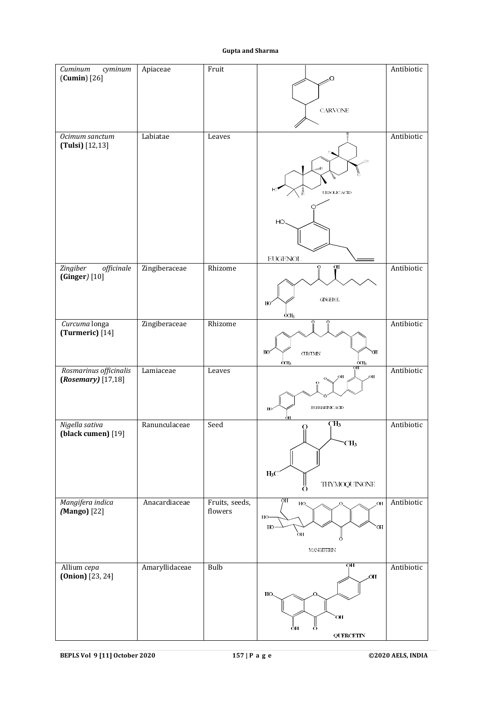| Cuminum<br>cyminum              | Apiaceae       | Fruit          |                                           | Antibiotic |
|---------------------------------|----------------|----------------|-------------------------------------------|------------|
| $(Cumin)$ [26]                  |                |                | о                                         |            |
|                                 |                |                |                                           |            |
|                                 |                |                |                                           |            |
|                                 |                |                | <b>CARVONE</b>                            |            |
|                                 |                |                |                                           |            |
| Ocimum sanctum                  | Labiatae       | Leaves         |                                           | Antibiotic |
| $(Tulsi)$ [12,13]               |                |                |                                           |            |
|                                 |                |                |                                           |            |
|                                 |                |                | $H_{\ell\ell\ell}$                        |            |
|                                 |                |                |                                           |            |
|                                 |                |                | ${\bf URSOLICACID}$                       |            |
|                                 |                |                | 青                                         |            |
|                                 |                |                |                                           |            |
|                                 |                |                | HO                                        |            |
|                                 |                |                |                                           |            |
|                                 |                |                |                                           |            |
|                                 |                |                | <b>EUGENOL</b>                            |            |
| Zingiber<br>officinale          | Zingiberaceae  | Rhizome        | QH                                        | Antibiotic |
| $(Ginger)$ [10]                 |                |                |                                           |            |
|                                 |                |                |                                           |            |
|                                 |                |                | ${\small \bf GINGEROL}$<br>HO             |            |
|                                 |                |                | ÒСH,                                      |            |
| Curcuma longa                   | Zingiberaceae  | Rhizome        |                                           | Antibiotic |
| (Turmeric) [14]                 |                |                |                                           |            |
|                                 |                |                | HO.<br>OН<br>$\textsc{CURCUMIN}\xspace$   |            |
|                                 |                |                | oсн,<br>$\frac{6 \text{CH}_3}{\text{OH}}$ |            |
| Rosmarinus officinalis          | Lamiaceae      | Leaves         | OН<br>OН                                  | Antibiotic |
| (Rosemary) [17,18]              |                |                |                                           |            |
|                                 |                |                |                                           |            |
|                                 |                |                | ROSMARINIC ACID<br>HO                     |            |
| Nigella sativa                  | Ranunculaceae  | Seed           | ÓН<br>CH <sub>3</sub>                     | Antibiotic |
| (black cumen) [19]              |                |                | $\Omega$                                  |            |
|                                 |                |                | CH <sub>3</sub>                           |            |
|                                 |                |                |                                           |            |
|                                 |                |                |                                           |            |
|                                 |                |                | $H_3C$                                    |            |
|                                 |                |                | <b>THYMOQUINONE</b><br>Ö                  |            |
| Mangifera indica                | Anacardiaceae  | Fruits, seeds, | ΟH<br>HO.<br>Ю,                           | Antibiotic |
| (Mango) [22]                    |                | flowers        | HO-                                       |            |
|                                 |                |                | HO-<br>ЮH                                 |            |
|                                 |                |                | òн                                        |            |
|                                 |                |                | MANGIFERIN                                |            |
|                                 |                |                | OН                                        |            |
| Allium cepa<br>(Union) [23, 24] | Amaryllidaceae | <b>Bulb</b>    | HO.                                       | Antibiotic |
|                                 |                |                |                                           |            |
|                                 |                |                | HO.                                       |            |
|                                 |                |                |                                           |            |
|                                 |                |                | HO <sup>-</sup>                           |            |
|                                 |                |                | Ő<br>ÒН                                   |            |
|                                 |                |                | <b>QUERCETIN</b>                          |            |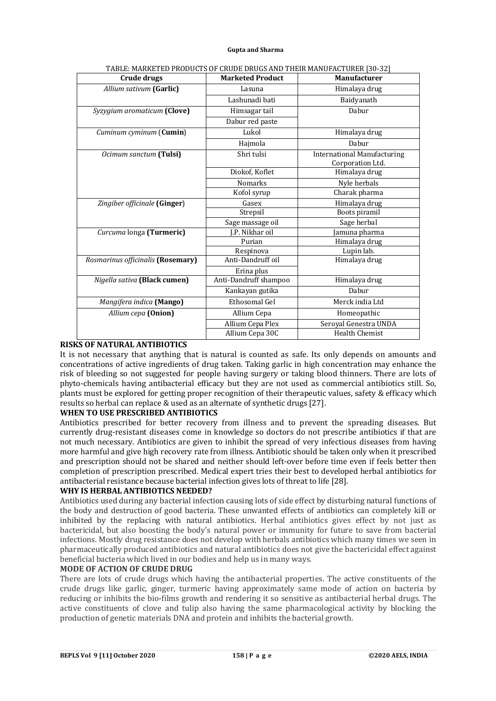| <b>Crude drugs</b>                | <b>Marketed Product</b> | <b>Manufacturer</b>                                    |
|-----------------------------------|-------------------------|--------------------------------------------------------|
| Allium sativum (Garlic)           | Lasuna                  | Himalaya drug                                          |
|                                   | Lashunadi bati          | Baidyanath                                             |
| Syzygium aromaticum (Clove)       | Himsagar tail           | Dabur                                                  |
|                                   | Dabur red paste         |                                                        |
| Cuminum cyminum (Cumin)           | Lukol                   | Himalaya drug                                          |
|                                   | Hajmola                 | Dabur                                                  |
| Ocimum sanctum (Tulsi)            | Shri tulsi              | <b>International Manufacturing</b><br>Corporation Ltd. |
|                                   | Diokof, Koflet          | Himalaya drug                                          |
|                                   | <b>Nomarks</b>          | Nyle herbals                                           |
|                                   | Kofol syrup             | Charak pharma                                          |
| Zingiber officinale (Ginger)      | Gasex                   | Himalaya drug                                          |
|                                   | Strepsil                | Boots piramil                                          |
|                                   | Sage massage oil        | Sage herbal                                            |
| Curcuma longa (Turmeric)          | J.P. Nikhar oil         | Jamuna pharma                                          |
|                                   | Purian                  | Himalaya drug                                          |
|                                   | Respinova               | Lupin lab.                                             |
| Rosmarinus officinalis (Rosemary) | Anti-Dandruff oil       | Himalaya drug                                          |
|                                   | Erina plus              |                                                        |
| Nigella sativa (Black cumen)      | Anti-Dandruff shampoo   | Himalaya drug                                          |
|                                   | Kankayan gutika         | Dabur                                                  |
| Mangifera indica (Mango)          | Ethosomal Gel           | Merck india Ltd                                        |
| Allium cepa (Onion)               | Allium Cepa             | Homeopathic                                            |
|                                   | Allium Cepa Plex        | Seroyal Genestra UNDA                                  |
|                                   | Allium Cepa 30C         | <b>Health Chemist</b>                                  |

#### TABLE: MARKETED PRODUCTS OF CRUDE DRUGS AND THEIR MANUFACTURER [30-32]

# **RISKS OF NATURAL ANTIBIOTICS**

It is not necessary that anything that is natural is counted as safe. Its only depends on amounts and concentrations of active ingredients of drug taken. Taking garlic in high concentration may enhance the risk of bleeding so not suggested for people having surgery or taking blood thinners. There are lots of phyto-chemicals having antibacterial efficacy but they are not used as commercial antibiotics still. So, plants must be explored for getting proper recognition of their therapeutic values, safety & efficacy which results so herbal can replace & used as an alternate of synthetic drugs [27].

### **WHEN TO USE PRESCRIBED ANTIBIOTICS**

Antibiotics prescribed for better recovery from illness and to prevent the spreading diseases. But currently drug-resistant diseases come in knowledge so doctors do not prescribe antibiotics if that are not much necessary. Antibiotics are given to inhibit the spread of very infectious diseases from having more harmful and give high recovery rate from illness. Antibiotic should be taken only when it prescribed and prescription should not be shared and neither should left-over before time even if feels better then completion of prescription prescribed. Medical expert tries their best to developed herbal antibiotics for antibacterial resistance because bacterial infection gives lots of threat to life [28].

### **WHY IS HERBAL ANTIBIOTICS NEEDED?**

Antibiotics used during any bacterial infection causing lots of side effect by disturbing natural functions of the body and destruction of good bacteria. These unwanted effects of antibiotics can completely kill or inhibited by the replacing with natural antibiotics. Herbal antibiotics gives effect by not just as bactericidal, but also boosting the body's natural power or immunity for future to save from bacterial infections. Mostly drug resistance does not develop with herbals antibiotics which many times we seen in pharmaceutically produced antibiotics and natural antibiotics does not give the bactericidal effect against beneficial bacteria which lived in our bodies and help us in many ways.

# **MODE OF ACTION OF CRUDE DRUG**

There are lots of crude drugs which having the antibacterial properties. The active constituents of the crude drugs like garlic, ginger, turmeric having approximately same mode of action on bacteria by reducing or inhibits the bio-films growth and rendering it so sensitive as antibacterial herbal drugs. The active constituents of clove and tulip also having the same pharmacological activity by blocking the production of genetic materials DNA and protein and inhibits the bacterial growth.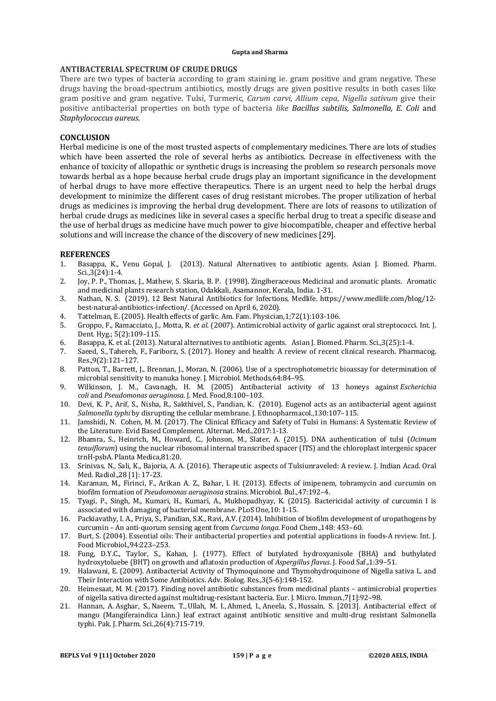# **ANTIBACTERIAL SPECTRUM OF CRUDE DRUGS**

There are two types of bacteria according to gram staining ie. gram positive and gram negative. These drugs having the broad-spectrum antibiotics, mostly drugs are given positive results in both cases like gram positive and gram negative. Tulsi, Turmeric, *Carum carvi, Allium cepa, Nigella sativum* give their positive antibacterial properties on both type of bacteria *like Bacillus subtilis, Salmonella, E. Coli* and *Staphylococcus aureus.*

# **CONCLUSION**

Herbal medicine is one of the most trusted aspects of complementary medicines. There are lots of studies which have been asserted the role of several herbs as antibiotics. Decrease in effectiveness with the enhance of toxicity of allopathic or synthetic drugs is increasing the problem so research personals move towards herbal as a hope because herbal crude drugs play an important significance in the development of herbal drugs to have more effective therapeutics. There is an urgent need to help the herbal drugs development to minimize the different cases of drug resistant microbes. The proper utilization of herbal drugs as medicines is improving the herbal drug development. There are lots of reasons to utilization of herbal crude drugs as medicines like in several cases a specific herbal drug to treat a specific disease and the use of herbal drugs as medicine have much power to give biocompatible, cheaper and effective herbal solutions and will increase the chance of the discovery of new medicines [29].

# **REFERENCES**

- 1. Basappa, K., Venu Gopal, J. (2013). Natural Alternatives to antibiotic agents. Asian J. Biomed. Pharm. Sci.,3(24):1-4.
- 2. Joy, P. P., Thomas, J., Mathew, S. Skaria, B. P. (1998). Zingiberaceous Medicinal and aromatic plants. Aromatic and medicinal plants research station, Odakkali, Asamannor, Kerala, India. 1-31.
- 3. Nathan, N. S. (2019). 12 Best Natural Antibiotics for Infections, Medlife. [https://www.medlife.com/blog/12](https://www.medlife.com/blog/12-) best-natural-antibiotics-infection/. (Accessed on April 6, 2020).
- 4. Tattelman, E. (2005). Health effects of garlic. Am. Fam. Physician,1;72(1):103-106.
- 5. Groppo, F., Ramacciato, J., Motta, R. *et al.* (2007). Antimicrobial activity of garlic against oral streptococci. Int. J. Dent. Hyg.; 5(2):109–115.
- 6. Basappa, K. et al. (2013). Natural alternatives to antibiotic agents. Asian J. Biomed. Pharm. Sci.,3(25):1-4.
- 7. Saeed, S., Tahereh, F., Fariborz, S. (2017). Honey and health: A review of recent clinical research. Pharmacog. Res.,9(2):121–127.
- 8. Patton, T., Barrett, J., Brennan, J., Moran, N. (2006). Use of a spectrophotometric bioassay for determination of microbial sensitivity to manuka honey. J. Microbiol. Methods,64:84–95.
- 9. Wilkinson, J. M., Cavanagh, H. M. (2005) Antibacterial activity of 13 honeys against *Escherichia coli* and *Pseudomonas aeruginosa*. J. Med. Food,8:100–103.
- 10. Devi, K. P., Arif, S., Nisha, R., Sakthivel, S., Pandian, K. (2010). Eugenol acts as an antibacterial agent against *Salmonella typhi* by disrupting the cellular membrane. J. Ethnopharmacol.,130:107–115.
- 11. Jamshidi, N. Cohen, M. M. (2017). The Clinical Efficacy and Safety of Tulsi in Humans: A Systematic Review of the Literature. Evid Based Complement. Alternat. Med.,2017:1-13.
- 12. Bhamra, S., Heinrich, M., Howard, C., Johnson, M., Slater, A. (2015). DNA authentication of tulsi (*Ocimum tenuiflorum*) using the nuclear ribosomal internal transcribed spacer (ITS) and the chloroplast intergenic spacer trnH-psbA. Planta Medica,81:20.
- 13. Srinivas, N., Sali, K., Bajoria, A. A. (2016). Therapeutic aspects of Tulsiunraveled: A review. J. Indian Acad. Oral Med. Radiol.,28 [1]: 17-23.
- 14. Karaman, M., Firinci, F., Arikan A. Z., Bahar, I. H. (2013). Effects of imipenem, tobramycin and curcumin on biofilm formation of *Pseudomonas aeruginosa* strains. Microbiol. Bul.,47:192–4.
- 15. Tyagi, P., Singh, M., Kumari, H., Kumari, A., Mukhopadhyay, K. (2015). Bactericidal activity of curcumin I is associated with damaging of bacterial membrane. PLoS One,10: 1-15.
- 16. Packiavathy, I. A., Priya, S., Pandian, S.K., Ravi, A.V. (2014). Inhibition of biofilm development of uropathogens by curcumin – An anti-quorum sensing agent from *Curcuma longa*. Food Chem.,148: 453–60.
- 17. Burt, S. (2004). Essential oils: Their antibacterial properties and potential applications in foods-A review. Int. J. Food Microbiol.,94:223–253.
- 18. Fung, D.Y.C., Taylor, S., Kahan, J. (1977). Effect of butylated hydroxyanisole (BHA) and buthylated hydroxytoluebe (BHT) on growth and aflatoxin production of *Aspergillus flavus*. J. Food Saf.,1:39–51.
- 19. Halawani, E. (2009). Antibacterial Activity of Thymoquinone and Thymohydroquinone of Nigella sativa L. and Their Interaction with Some Antibiotics. Adv. Biolog. Res.,3(5-6):148-152.
- 20. Heimesaat, M. M. (2017). Finding novel antibiotic substances from medicinal plants antimicrobial properties of nigella sativa directed against multidrug-resistant bacteria. Eur. J. Micro. Immun.,7[1]:92–98.
- 21. Hannan, A. Asghar, S., Naeem, T., Ullah, M. I., Ahmed, I., Aneela, S., Hussain, S. [2013]. Antibacterial effect of mango (Mangiferaindica Linn.) leaf extract against antibiotic sensitive and multi-drug resistant Salmonella typhi. Pak. J. Pharm. Sci.,26(4):715-719.